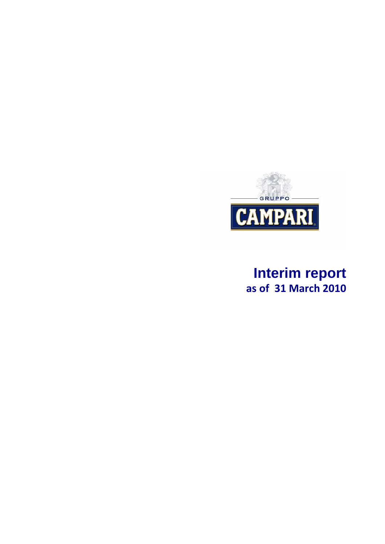

# **Interim report**  as of 31 March 2010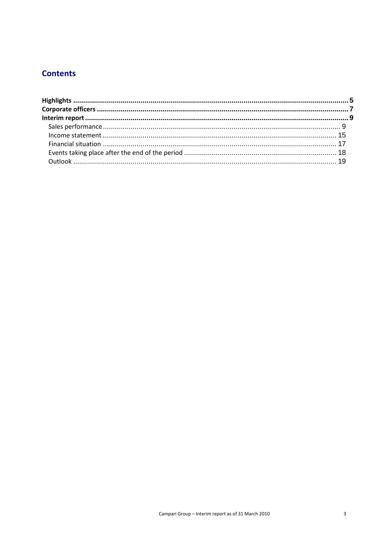## **Contents**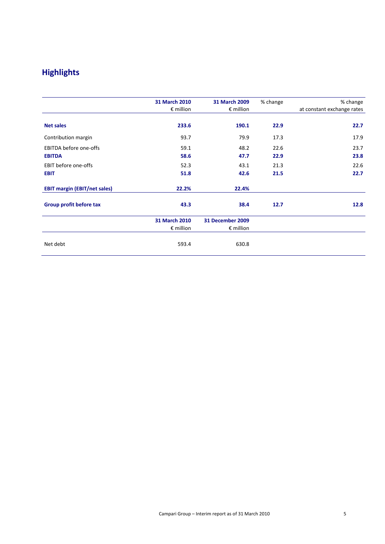## Highlights

|                                     | 31 March 2010<br>$\epsilon$ million | 31 March 2009<br>$\epsilon$ million | % change | % change<br>at constant exchange rates |
|-------------------------------------|-------------------------------------|-------------------------------------|----------|----------------------------------------|
| <b>Net sales</b>                    | 233.6                               | 190.1                               | 22.9     | 22.7                                   |
| Contribution margin                 | 93.7                                | 79.9                                | 17.3     | 17.9                                   |
| <b>EBITDA before one-offs</b>       | 59.1                                | 48.2                                | 22.6     | 23.7                                   |
| <b>EBITDA</b>                       | 58.6                                | 47.7                                | 22.9     | 23.8                                   |
| EBIT before one-offs                | 52.3                                | 43.1                                | 21.3     | 22.6                                   |
| <b>EBIT</b>                         | 51.8                                | 42.6                                | 21.5     | 22.7                                   |
| <b>EBIT margin (EBIT/net sales)</b> | 22.2%                               | 22.4%                               |          |                                        |
| Group profit before tax             | 43.3                                | 38.4                                | 12.7     | 12.8                                   |
|                                     | 31 March 2010                       | 31 December 2009                    |          |                                        |
|                                     | $\epsilon$ million                  | $\epsilon$ million                  |          |                                        |
| Net debt                            | 593.4                               | 630.8                               |          |                                        |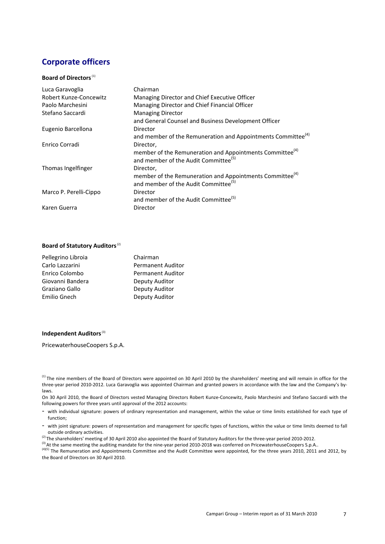## Corporate officers

#### Board of Directors<sup>(1)</sup>

| Luca Garavoglia        | Chairman                                                                 |
|------------------------|--------------------------------------------------------------------------|
| Robert Kunze-Concewitz | Managing Director and Chief Executive Officer                            |
| Paolo Marchesini       | Managing Director and Chief Financial Officer                            |
| Stefano Saccardi       | <b>Managing Director</b>                                                 |
|                        | and General Counsel and Business Development Officer                     |
| Eugenio Barcellona     | Director                                                                 |
|                        | and member of the Remuneration and Appointments Committee <sup>(4)</sup> |
| Enrico Corradi         | Director,                                                                |
|                        | member of the Remuneration and Appointments Committee <sup>(4)</sup>     |
|                        | and member of the Audit Committee <sup>(5)</sup>                         |
| Thomas Ingelfinger     | Director,                                                                |
|                        | member of the Remuneration and Appointments Committee <sup>(4)</sup>     |
|                        | and member of the Audit Committee <sup>(5)</sup>                         |
| Marco P. Perelli-Cippo | Director                                                                 |
|                        | and member of the Audit Committee <sup>(5)</sup>                         |
| Karen Guerra           | Director                                                                 |

#### Board of Statutory Auditors (2)

| Pellegrino Libroia | Chairman                 |
|--------------------|--------------------------|
| Carlo Lazzarini    | <b>Permanent Auditor</b> |
| Enrico Colombo     | <b>Permanent Auditor</b> |
| Giovanni Bandera   | Deputy Auditor           |
| Graziano Gallo     | Deputy Auditor           |
| Emilio Gnech       | Deputy Auditor           |

#### Independent Auditors<sup>(3)</sup>

PricewaterhouseCoopers S.p.A.

On 30 April 2010, the Board of Directors vested Managing Directors Robert Kunze-Concewitz, Paolo Marchesini and Stefano Saccardi with the following powers for three years until approval of the 2012 accounts:

- with joint signature: powers of representation and management for specific types of functions, within the value or time limits deemed to fall outside ordinary activities.
- <sup>(2)</sup> The shareholders' meeting of 30 April 2010 also appointed the Board of Statutory Auditors for the three-year period 2010-2012.
- <sup>(3)</sup> At the same meeting the auditing mandate for the nine-year period 2010-2018 was conferred on PricewaterhouseCoopers S.p.A..

(4)(5) The Remuneration and Appointments Committee and the Audit Committee were appointed, for the three years 2010, 2011 and 2012, by the Board of Directors on 30 April 2010.

<sup>&</sup>lt;sup>(1)</sup> The nine members of the Board of Directors were appointed on 30 April 2010 by the shareholders' meeting and will remain in office for the three-year period 2010-2012. Luca Garavoglia was appointed Chairman and granted powers in accordance with the law and the Company's bylaws.

<sup>-</sup> with individual signature: powers of ordinary representation and management, within the value or time limits established for each type of function;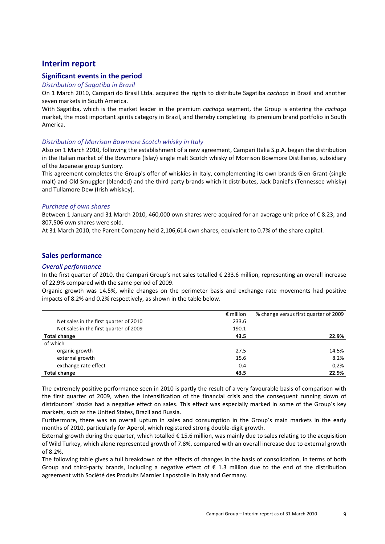### Interim report

#### Significant events in the period

#### Distribution of Sagatiba in Brazil

On 1 March 2010, Campari do Brasil Ltda. acquired the rights to distribute Sagatiba cachaça in Brazil and another seven markets in South America.

With Sagatiba, which is the market leader in the premium cachaça segment, the Group is entering the cachaça market, the most important spirits category in Brazil, and thereby completing its premium brand portfolio in South America.

#### Distribution of Morrison Bowmore Scotch whisky in Italy

Also on 1 March 2010, following the establishment of a new agreement, Campari Italia S.p.A. began the distribution in the Italian market of the Bowmore (Islay) single malt Scotch whisky of Morrison Bowmore Distilleries, subsidiary of the Japanese group Suntory.

This agreement completes the Group's offer of whiskies in Italy, complementing its own brands Glen-Grant (single malt) and Old Smuggler (blended) and the third party brands which it distributes, Jack Daniel's (Tennessee whisky) and Tullamore Dew (Irish whiskey).

#### Purchase of own shares

Between 1 January and 31 March 2010, 460,000 own shares were acquired for an average unit price of € 8.23, and 807,506 own shares were sold.

At 31 March 2010, the Parent Company held 2,106,614 own shares, equivalent to 0.7% of the share capital.

#### Sales performance

#### Overall performance

In the first quarter of 2010, the Campari Group's net sales totalled € 233.6 million, representing an overall increase of 22.9% compared with the same period of 2009.

Organic growth was 14.5%, while changes on the perimeter basis and exchange rate movements had positive impacts of 8.2% and 0.2% respectively, as shown in the table below.

|                                        | $\epsilon$ million | % change versus first quarter of 2009 |
|----------------------------------------|--------------------|---------------------------------------|
| Net sales in the first quarter of 2010 | 233.6              |                                       |
| Net sales in the first quarter of 2009 | 190.1              |                                       |
| <b>Total change</b>                    | 43.5               | 22.9%                                 |
| of which                               |                    |                                       |
| organic growth                         | 27.5               | 14.5%                                 |
| external growth                        | 15.6               | 8.2%                                  |
| exchange rate effect                   | 0.4                | 0.2%                                  |
| <b>Total change</b>                    | 43.5               | 22.9%                                 |

The extremely positive performance seen in 2010 is partly the result of a very favourable basis of comparison with the first quarter of 2009, when the intensification of the financial crisis and the consequent running down of distributors' stocks had a negative effect on sales. This effect was especially marked in some of the Group's key markets, such as the United States, Brazil and Russia.

Furthermore, there was an overall upturn in sales and consumption in the Group's main markets in the early months of 2010, particularly for Aperol, which registered strong double-digit growth.

External growth during the quarter, which totalled  $\epsilon$  15.6 million, was mainly due to sales relating to the acquisition of Wild Turkey, which alone represented growth of 7.8%, compared with an overall increase due to external growth of 8.2%.

The following table gives a full breakdown of the effects of changes in the basis of consolidation, in terms of both Group and third-party brands, including a negative effect of  $\epsilon$  1.3 million due to the end of the distribution agreement with Société des Produits Marnier Lapostolle in Italy and Germany.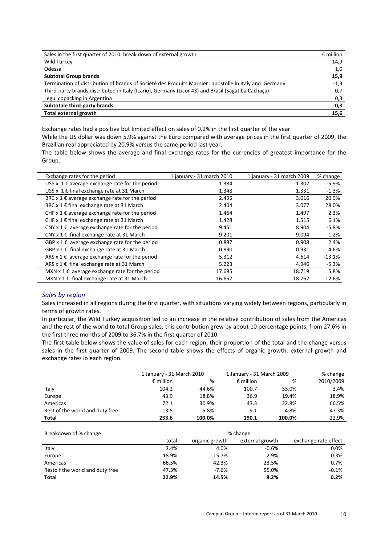| Sales in the first quarter of 2010: break down of external growth                                     | $\epsilon$ million |
|-------------------------------------------------------------------------------------------------------|--------------------|
| Wild Turkey                                                                                           | 14,9               |
| Odessa                                                                                                | 1,0                |
| <b>Subtotal Group brands</b>                                                                          | 15,9               |
| Termination of distribution of brands of Société des Produits Marnier Lapostolle in Italy and Germany | $-1,3$             |
| Third-party brands distributed in Italy (Icario), Germany (Licor 43) and Brasil (Sagatiba Cachaça)    | 0,7                |
| Legui copacking in Argentina                                                                          | 0,3                |
| Subtotale third-party brands                                                                          | $-0,3$             |
| Total external growth                                                                                 | 15,6               |

Exchange rates had a positive but limited effect on sales of 0.2% in the first quarter of the year.

While the US dollar was down 5.9% against the Euro compared with average prices in the first quarter of 2009, the Brazilian real appreciated by 20.9% versus the same period last year.

The table below shows the average and final exchange rates for the currencies of greatest importance for the Group.

| Exchange rates for the period                                 | 1 january - 31 march 2010 | 1 january - 31 march 2009 | % change |
|---------------------------------------------------------------|---------------------------|---------------------------|----------|
| US\$ x 1 $\epsilon$ average exchange rate for the period      | 1.384                     | 1.302                     | $-5.9%$  |
| US\$ x 1 € final exchange rate at 31 March                    | 1.348                     | 1.331                     | $-1.3%$  |
| BRC $x$ 1 $\epsilon$ average exchange rate for the period     | 2.495                     | 3.016                     | 20.9%    |
| BRC x 1 € final exchange rate at 31 March                     | 2.404                     | 3.077                     | 28.0%    |
| CHF x 1 $\epsilon$ average exchange rate for the period       | 1.464                     | 1.497                     | 2.3%     |
| CHF x 1 $\epsilon$ final exchange rate at 31 March            | 1.428                     | 1.515                     | 6.1%     |
| CNY $x \, 1 \, \epsilon$ average exchange rate for the period | 9.451                     | 8.904                     | $-5.8%$  |
| CNY $x 1 \in$ final exchange rate at 31 March                 | 9.201                     | 9.094                     | $-1.2%$  |
| GBP $x$ 1 $\epsilon$ average exchange rate for the period     | 0.887                     | 0.908                     | 2.4%     |
| GBP x 1 € final exchange rate at 31 March                     | 0.890                     | 0.931                     | 4.6%     |
| ARS $x \, 1 \, \epsilon$ average exchange rate for the period | 5.312                     | 4.614                     | $-13.1%$ |
| ARS $x 1 \in$ final exchange rate at 31 March                 | 5.223                     | 4.946                     | $-5.3%$  |
| MXN $x 1 \in \mathbb{R}$ average exchange rate for the period | 17.685                    | 18.719                    | 5.8%     |
| MXN $x 1 \in$ final exchange rate at 31 March                 | 16.657                    | 18.762                    | 12.6%    |

#### Sales by region

Sales increased in all regions during the first quarter, with situations varying widely between regions, particularly in terms of growth rates.

In particular, the Wild Turkey acquisition led to an increase in the relative contribution of sales from the Americas and the rest of the world to total Group sales; this contribution grew by about 10 percentage points, from 27.6% in the first three months of 2009 to 36.7% in the first quarter of 2010.

The first table below shows the value of sales for each region, their proportion of the total and the change versus sales in the first quarter of 2009. The second table shows the effects of organic growth, external growth and exchange rates in each region.

|                                 | 1 January - 31 March 2010 |        | 1 January - 31 March 2009 |        | % change  |
|---------------------------------|---------------------------|--------|---------------------------|--------|-----------|
|                                 | $\epsilon$ million        | %      | $\epsilon$ million        | %      | 2010/2009 |
| Italy                           | 104.2                     | 44.6%  | 100.7                     | 53.0%  | 3.4%      |
| Europe                          | 43.9                      | 18.8%  | 36.9                      | 19.4%  | 18.9%     |
| Americas                        | 72.1                      | 30.9%  | 43.3                      | 22.8%  | 66.5%     |
| Rest of the world and duty free | 13.5                      | 5.8%   | 9.1                       | 4.8%   | 47.3%     |
| Total                           | 233.6                     | 100.0% | 190.1                     | 100.0% | 22.9%     |

| Breakdown of % change           | % change |                |                 |                      |
|---------------------------------|----------|----------------|-----------------|----------------------|
|                                 | total    | organic growth | external growth | exchange rate effect |
| Italy                           | 3.4%     | 4.0%           | $-0.6%$         | 0.0%                 |
| Europe                          | 18.9%    | 15.7%          | 2.9%            | 0.3%                 |
| Americas                        | 66.5%    | 42.3%          | 23.5%           | 0.7%                 |
| Resto f the world and duty free | 47.3%    | $-7.6%$        | 55.0%           | $-0.1%$              |
| <b>Total</b>                    | 22.9%    | 14.5%          | 8.2%            | 0.2%                 |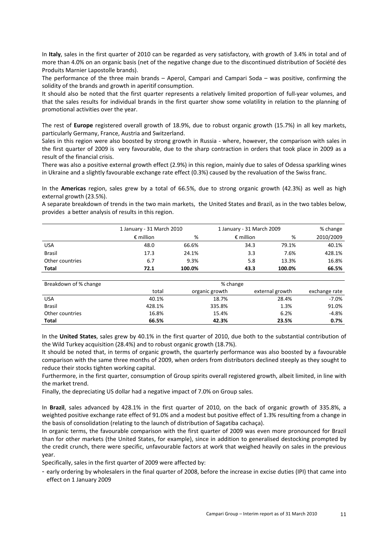In Italy, sales in the first quarter of 2010 can be regarded as very satisfactory, with growth of 3.4% in total and of more than 4.0% on an organic basis (net of the negative change due to the discontinued distribution of Société des Produits Marnier Lapostolle brands).

The performance of the three main brands – Aperol, Campari and Campari Soda – was positive, confirming the solidity of the brands and growth in aperitif consumption.

It should also be noted that the first quarter represents a relatively limited proportion of full-year volumes, and that the sales results for individual brands in the first quarter show some volatility in relation to the planning of promotional activities over the year.

The rest of Europe registered overall growth of 18.9%, due to robust organic growth (15.7%) in all key markets, particularly Germany, France, Austria and Switzerland.

Sales in this region were also boosted by strong growth in Russia - where, however, the comparison with sales in the first quarter of 2009 is very favourable, due to the sharp contraction in orders that took place in 2009 as a result of the financial crisis.

There was also a positive external growth effect (2.9%) in this region, mainly due to sales of Odessa sparkling wines in Ukraine and a slightly favourable exchange rate effect (0.3%) caused by the revaluation of the Swiss franc.

In the Americas region, sales grew by a total of 66.5%, due to strong organic growth (42.3%) as well as high external growth (23.5%).

A separate breakdown of trends in the two main markets, the United States and Brazil, as in the two tables below, provides a better analysis of results in this region.

|                 |                    | 1 January - 31 March 2010 |                    | 1 January - 31 March 2009 |           |  |
|-----------------|--------------------|---------------------------|--------------------|---------------------------|-----------|--|
|                 | $\epsilon$ million | %                         | $\epsilon$ million | %                         | 2010/2009 |  |
| <b>USA</b>      | 48.0               | 66.6%                     | 34.3               | 79.1%                     | 40.1%     |  |
| <b>Brasil</b>   | 17.3               | 24.1%                     | 3.3                | 7.6%                      | 428.1%    |  |
| Other countries | 6.7                | 9.3%                      | 5.8                | 13.3%                     | 16.8%     |  |
| Total           | 72.1               | 100.0%                    | 43.3               | 100.0%                    | 66.5%     |  |

| Breakdown of % change | % change |                |                 |               |
|-----------------------|----------|----------------|-----------------|---------------|
|                       | total    | organic growth | external growth | exchange rate |
| <b>USA</b>            | 40.1%    | 18.7%          | 28.4%           | $-7.0\%$      |
| <b>Brasil</b>         | 428.1%   | 335.8%         | 1.3%            | 91.0%         |
| Other countries       | 16.8%    | 15.4%          | 6.2%            | $-4.8%$       |
| Total                 | 66.5%    | 42.3%          | 23.5%           | 0.7%          |

In the United States, sales grew by 40.1% in the first quarter of 2010, due both to the substantial contribution of the Wild Turkey acquisition (28.4%) and to robust organic growth (18.7%).

It should be noted that, in terms of organic growth, the quarterly performance was also boosted by a favourable comparison with the same three months of 2009, when orders from distributors declined steeply as they sought to reduce their stocks tighten working capital.

Furthermore, in the first quarter, consumption of Group spirits overall registered growth, albeit limited, in line with the market trend.

Finally, the depreciating US dollar had a negative impact of 7.0% on Group sales.

In Brazil, sales advanced by 428.1% in the first quarter of 2010, on the back of organic growth of 335.8%, a weighted positive exchange rate effect of 91.0% and a modest but positive effect of 1.3% resulting from a change in the basis of consolidation (relating to the launch of distribution of Sagatiba cachaça).

In organic terms, the favourable comparison with the first quarter of 2009 was even more pronounced for Brazil than for other markets (the United States, for example), since in addition to generalised destocking prompted by the credit crunch, there were specific, unfavourable factors at work that weighed heavily on sales in the previous year.

Specifically, sales in the first quarter of 2009 were affected by:

- early ordering by wholesalers in the final quarter of 2008, before the increase in excise duties (IPI) that came into effect on 1 January 2009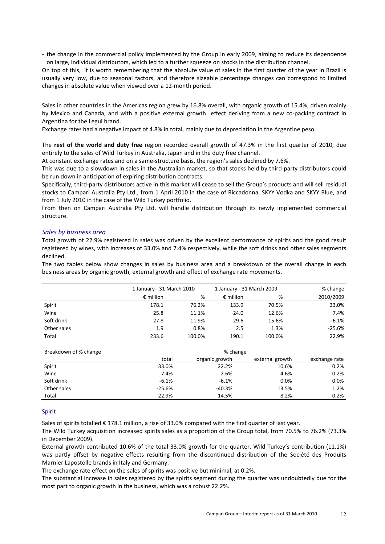- the change in the commercial policy implemented by the Group in early 2009, aiming to reduce its dependence on large, individual distributors, which led to a further squeeze on stocks in the distribution channel.

On top of this, it is worth remembering that the absolute value of sales in the first quarter of the year in Brazil is usually very low, due to seasonal factors, and therefore sizeable percentage changes can correspond to limited changes in absolute value when viewed over a 12-month period.

Sales in other countries in the Americas region grew by 16.8% overall, with organic growth of 15.4%, driven mainly by Mexico and Canada, and with a positive external growth effect deriving from a new co-packing contract in Argentina for the Legui brand.

Exchange rates had a negative impact of 4.8% in total, mainly due to depreciation in the Argentine peso.

The rest of the world and duty free region recorded overall growth of 47.3% in the first quarter of 2010, due entirely to the sales of Wild Turkey in Australia, Japan and in the duty free channel.

At constant exchange rates and on a same-structure basis, the region's sales declined by 7.6%.

This was due to a slowdown in sales in the Australian market, so that stocks held by third-party distributors could be run down in anticipation of expiring distribution contracts.

Specifically, third-party distributors active in this market will cease to sell the Group's products and will sell residual stocks to Campari Australia Pty Ltd., from 1 April 2010 in the case of Riccadonna, SKYY Vodka and SKYY Blue, and from 1 July 2010 in the case of the Wild Turkey portfolio.

From then on Campari Australia Pty Ltd. will handle distribution through its newly implemented commercial structure.

#### Sales by business area

Total growth of 22.9% registered in sales was driven by the excellent performance of spirits and the good result registered by wines, with increases of 33.0% and 7.4% respectively, while the soft drinks and other sales segments declined.

The two tables below show changes in sales by business area and a breakdown of the overall change in each business areas by organic growth, external growth and effect of exchange rate movements.

|             |                    | 1 January - 31 March 2010 |                    | 1 January - 31 March 2009 | % change  |
|-------------|--------------------|---------------------------|--------------------|---------------------------|-----------|
|             | $\epsilon$ million | %                         | $\epsilon$ million | %                         | 2010/2009 |
| Spirit      | 178.1              | 76.2%                     | 133.9              | 70.5%                     | 33.0%     |
| Wine        | 25.8               | 11.1%                     | 24.0               | 12.6%                     | 7.4%      |
| Soft drink  | 27.8               | 11.9%                     | 29.6               | 15.6%                     | $-6.1%$   |
| Other sales | 1.9                | 0.8%                      | 2.5                | 1.3%                      | $-25.6%$  |
| Total       | 233.6              | 100.0%                    | 190.1              | 100.0%                    | 22.9%     |

| Breakdown of % change | % change |                |                 |               |  |
|-----------------------|----------|----------------|-----------------|---------------|--|
|                       | total    | organic growth | external growth | exchange rate |  |
| Spirit                | 33.0%    | 22.2%          | 10.6%           | 0.2%          |  |
| Wine                  | 7.4%     | 2.6%           | 4.6%            | 0.2%          |  |
| Soft drink            | $-6.1%$  | $-6.1%$        | 0.0%            | 0.0%          |  |
| Other sales           | $-25.6%$ | $-40.3%$       | 13.5%           | 1.2%          |  |
| Total                 | 22.9%    | 14.5%          | 8.2%            | 0.2%          |  |

#### Spirit

Sales of spirits totalled € 178.1 million, a rise of 33.0% compared with the first quarter of last year.

The Wild Turkey acquisition increased spirits sales as a proportion of the Group total, from 70.5% to 76.2% (73.3% in December 2009).

External growth contributed 10.6% of the total 33.0% growth for the quarter. Wild Turkey's contribution (11.1%) was partly offset by negative effects resulting from the discontinued distribution of the Société des Produits Marnier Lapostolle brands in Italy and Germany.

The exchange rate effect on the sales of spirits was positive but minimal, at 0.2%.

The substantial increase in sales registered by the spirits segment during the quarter was undoubtedly due for the most part to organic growth in the business, which was a robust 22.2%.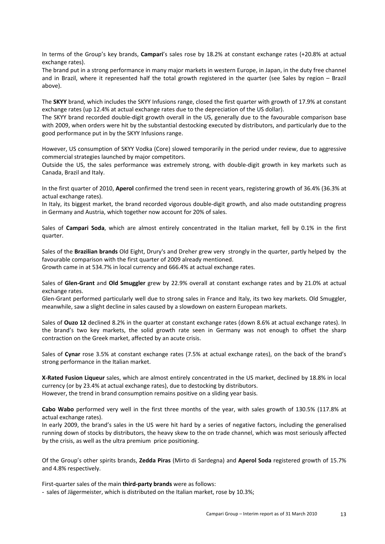In terms of the Group's key brands, Campari's sales rose by 18.2% at constant exchange rates (+20.8% at actual exchange rates).

The brand put in a strong performance in many major markets in western Europe, in Japan, in the duty free channel and in Brazil, where it represented half the total growth registered in the quarter (see Sales by region – Brazil above).

The SKYY brand, which includes the SKYY Infusions range, closed the first quarter with growth of 17.9% at constant exchange rates (up 12.4% at actual exchange rates due to the depreciation of the US dollar).

The SKYY brand recorded double-digit growth overall in the US, generally due to the favourable comparison base with 2009, when orders were hit by the substantial destocking executed by distributors, and particularly due to the good performance put in by the SKYY Infusions range.

However, US consumption of SKYY Vodka (Core) slowed temporarily in the period under review, due to aggressive commercial strategies launched by major competitors.

Outside the US, the sales performance was extremely strong, with double-digit growth in key markets such as Canada, Brazil and Italy.

In the first quarter of 2010, Aperol confirmed the trend seen in recent years, registering growth of 36.4% (36.3% at actual exchange rates).

In Italy, its biggest market, the brand recorded vigorous double-digit growth, and also made outstanding progress in Germany and Austria, which together now account for 20% of sales.

Sales of Campari Soda, which are almost entirely concentrated in the Italian market, fell by 0.1% in the first quarter.

Sales of the Brazilian brands Old Eight, Drury's and Dreher grew very strongly in the quarter, partly helped by the favourable comparison with the first quarter of 2009 already mentioned.

Growth came in at 534.7% in local currency and 666.4% at actual exchange rates.

Sales of Glen-Grant and Old Smuggler grew by 22.9% overall at constant exchange rates and by 21.0% at actual exchange rates.

Glen-Grant performed particularly well due to strong sales in France and Italy, its two key markets. Old Smuggler, meanwhile, saw a slight decline in sales caused by a slowdown on eastern European markets.

Sales of **Ouzo 12** declined 8.2% in the quarter at constant exchange rates (down 8.6% at actual exchange rates). In the brand's two key markets, the solid growth rate seen in Germany was not enough to offset the sharp contraction on the Greek market, affected by an acute crisis.

Sales of Cynar rose 3.5% at constant exchange rates (7.5% at actual exchange rates), on the back of the brand's strong performance in the Italian market.

X-Rated Fusion Liqueur sales, which are almost entirely concentrated in the US market, declined by 18.8% in local currency (or by 23.4% at actual exchange rates), due to destocking by distributors. However, the trend in brand consumption remains positive on a sliding year basis.

Cabo Wabo performed very well in the first three months of the year, with sales growth of 130.5% (117.8% at actual exchange rates).

In early 2009, the brand's sales in the US were hit hard by a series of negative factors, including the generalised running down of stocks by distributors, the heavy skew to the on trade channel, which was most seriously affected by the crisis, as well as the ultra premium price positioning.

Of the Group's other spirits brands, Zedda Piras (Mirto di Sardegna) and Aperol Soda registered growth of 15.7% and 4.8% respectively.

First-quarter sales of the main third-party brands were as follows:

- sales of Jägermeister, which is distributed on the Italian market, rose by 10.3%;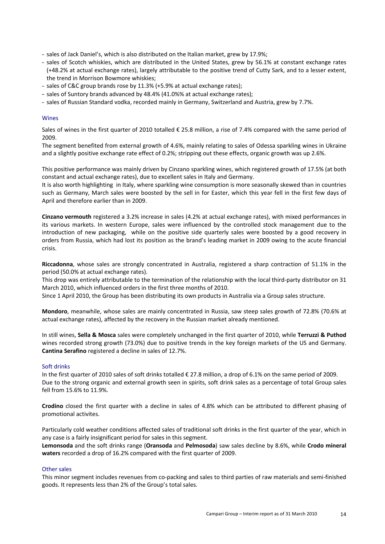- sales of Jack Daniel's, which is also distributed on the Italian market, grew by 17.9%;
- sales of Scotch whiskies, which are distributed in the United States, grew by 56.1% at constant exchange rates (+48.2% at actual exchange rates), largely attributable to the positive trend of Cutty Sark, and to a lesser extent, the trend in Morrison Bowmore whiskies;
- sales of C&C group brands rose by 11.3% (+5.9% at actual exchange rates);
- sales of Suntory brands advanced by 48.4% (41.0%% at actual exchange rates);
- sales of Russian Standard vodka, recorded mainly in Germany, Switzerland and Austria, grew by 7.7%.

#### Wines

Sales of wines in the first quarter of 2010 totalled € 25.8 million, a rise of 7.4% compared with the same period of 2009.

The segment benefited from external growth of 4.6%, mainly relating to sales of Odessa sparkling wines in Ukraine and a slightly positive exchange rate effect of 0.2%; stripping out these effects, organic growth was up 2.6%.

This positive performance was mainly driven by Cinzano sparkling wines, which registered growth of 17.5% (at both constant and actual exchange rates), due to excellent sales in Italy and Germany.

It is also worth highlighting in Italy, where sparkling wine consumption is more seasonally skewed than in countries such as Germany, March sales were boosted by the sell in for Easter, which this year fell in the first few days of April and therefore earlier than in 2009.

Cinzano vermouth registered a 3.2% increase in sales (4.2% at actual exchange rates), with mixed performances in its various markets. In western Europe, sales were influenced by the controlled stock management due to the introduction of new packaging, while on the positive side quarterly sales were boosted by a good recovery in orders from Russia, which had lost its position as the brand's leading market in 2009 owing to the acute financial crisis.

Riccadonna, whose sales are strongly concentrated in Australia, registered a sharp contraction of 51.1% in the period (50.0% at actual exchange rates).

This drop was entirely attributable to the termination of the relationship with the local third-party distributor on 31 March 2010, which influenced orders in the first three months of 2010.

Since 1 April 2010, the Group has been distributing its own products in Australia via a Group sales structure.

Mondoro, meanwhile, whose sales are mainly concentrated in Russia, saw steep sales growth of 72.8% (70.6% at actual exchange rates), affected by the recovery in the Russian market already mentioned.

In still wines, Sella & Mosca sales were completely unchanged in the first quarter of 2010, while Terruzzi & Puthod wines recorded strong growth (73.0%) due to positive trends in the key foreign markets of the US and Germany. Cantina Serafino registered a decline in sales of 12.7%.

#### Soft drinks

In the first quarter of 2010 sales of soft drinks totalled € 27.8 million, a drop of 6.1% on the same period of 2009. Due to the strong organic and external growth seen in spirits, soft drink sales as a percentage of total Group sales fell from 15.6% to 11.9%.

Crodino closed the first quarter with a decline in sales of 4.8% which can be attributed to different phasing of promotional activites.

Particularly cold weather conditions affected sales of traditional soft drinks in the first quarter of the year, which in any case is a fairly insignificant period for sales in this segment.

Lemonsoda and the soft drinks range (Oransoda and Pelmosoda) saw sales decline by 8.6%, while Crodo mineral waters recorded a drop of 16.2% compared with the first quarter of 2009.

#### Other sales

This minor segment includes revenues from co-packing and sales to third parties of raw materials and semi-finished goods. It represents less than 2% of the Group's total sales.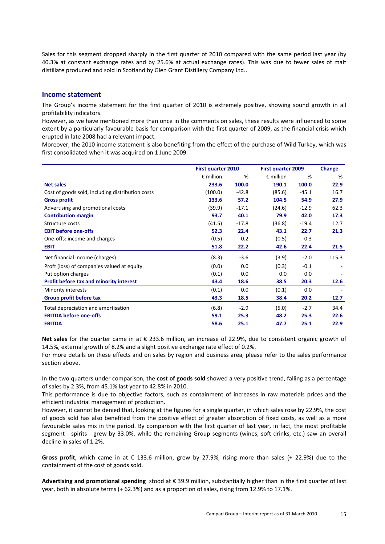Sales for this segment dropped sharply in the first quarter of 2010 compared with the same period last year (by 40.3% at constant exchange rates and by 25.6% at actual exchange rates). This was due to fewer sales of malt distillate produced and sold in Scotland by Glen Grant Distillery Company Ltd..

#### Income statement

The Group's income statement for the first quarter of 2010 is extremely positive, showing sound growth in all profitability indicators.

However, as we have mentioned more than once in the comments on sales, these results were influenced to some extent by a particularly favourable basis for comparison with the first quarter of 2009, as the financial crisis which erupted in late 2008 had a relevant impact.

Moreover, the 2010 income statement is also benefiting from the effect of the purchase of Wild Turkey, which was first consolidated when it was acquired on 1 June 2009.

|                                                  | <b>First quarter 2010</b> |         | <b>First quarter 2009</b> |         | Change |
|--------------------------------------------------|---------------------------|---------|---------------------------|---------|--------|
|                                                  | $\epsilon$ million        | %       | $\epsilon$ million        | %       | %      |
| <b>Net sales</b>                                 | 233.6                     | 100.0   | 190.1                     | 100.0   | 22.9   |
| Cost of goods sold, including distribution costs | (100.0)                   | $-42.8$ | (85.6)                    | $-45.1$ | 16.7   |
| <b>Gross profit</b>                              | 133.6                     | 57.2    | 104.5                     | 54.9    | 27.9   |
| Advertising and promotional costs                | (39.9)                    | $-17.1$ | (24.6)                    | $-12.9$ | 62.3   |
| <b>Contribution margin</b>                       | 93.7                      | 40.1    | 79.9                      | 42.0    | 17.3   |
| Structure costs                                  | (41.5)                    | $-17.8$ | (36.8)                    | $-19.4$ | 12.7   |
| <b>EBIT before one-offs</b>                      | 52.3                      | 22.4    | 43.1                      | 22.7    | 21.3   |
| One-offs: income and charges                     | (0.5)                     | $-0.2$  | (0.5)                     | $-0.3$  |        |
| <b>EBIT</b>                                      | 51.8                      | 22.2    | 42.6                      | 22.4    | 21.5   |
| Net financial income (charges)                   | (8.3)                     | $-3.6$  | (3.9)                     | $-2.0$  | 115.3  |
| Proft (loss) of companies valued at equity       | (0.0)                     | 0.0     | (0.3)                     | $-0.1$  |        |
| Put option charges                               | (0.1)                     | 0.0     | 0.0                       | 0.0     |        |
| Profit before tax and minority interest          | 43.4                      | 18.6    | 38.5                      | 20.3    | 12.6   |
| Minority interests                               | (0.1)                     | 0.0     | (0.1)                     | 0.0     |        |
| Group profit before tax                          | 43.3                      | 18.5    | 38.4                      | 20.2    | 12.7   |
| Total depreciation and amortisation              | (6.8)                     | $-2.9$  | (5.0)                     | $-2.7$  | 34.4   |
| <b>EBITDA before one-offs</b>                    | 59.1                      | 25.3    | 48.2                      | 25.3    | 22.6   |
| <b>EBITDA</b>                                    | 58.6                      | 25.1    | 47.7                      | 25.1    | 22.9   |

Net sales for the quarter came in at € 233.6 million, an increase of 22.9%, due to consistent organic growth of 14.5%, external growth of 8.2% and a slight positive exchange rate effect of 0.2%.

For more details on these effects and on sales by region and business area, please refer to the sales performance section above.

In the two quarters under comparison, the cost of goods sold showed a very positive trend, falling as a percentage of sales by 2.3%, from 45.1% last year to 42.8% in 2010.

This performance is due to objective factors, such as containment of increases in raw materials prices and the efficient industrial management of production.

However, it cannot be denied that, looking at the figures for a single quarter, in which sales rose by 22.9%, the cost of goods sold has also benefited from the positive effect of greater absorption of fixed costs, as well as a more favourable sales mix in the period. By comparison with the first quarter of last year, in fact, the most profitable segment - spirits - grew by 33.0%, while the remaining Group segments (wines, soft drinks, etc.) saw an overall decline in sales of 1.2%.

Gross profit, which came in at  $\epsilon$  133.6 million, grew by 27.9%, rising more than sales (+ 22.9%) due to the containment of the cost of goods sold.

Advertising and promotional spending stood at  $\epsilon$  39.9 million, substantially higher than in the first quarter of last year, both in absolute terms (+ 62.3%) and as a proportion of sales, rising from 12.9% to 17.1%.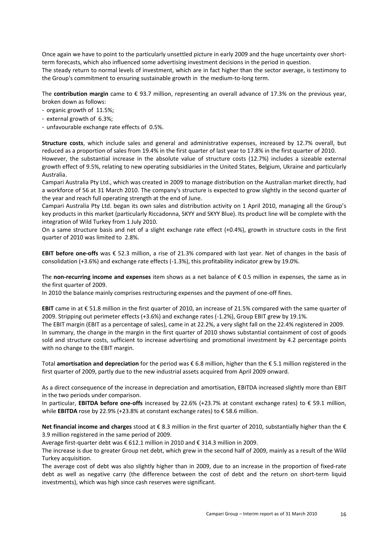Once again we have to point to the particularly unsettled picture in early 2009 and the huge uncertainty over shortterm forecasts, which also influenced some advertising investment decisions in the period in question.

The steady return to normal levels of investment, which are in fact higher than the sector average, is testimony to the Group's commitment to ensuring sustainable growth in the medium-to-long term.

The contribution margin came to  $\epsilon$  93.7 million, representing an overall advance of 17.3% on the previous year, broken down as follows:

- organic growth of 11.5%;
- external growth of 6.3%;
- unfavourable exchange rate effects of 0.5%.

Structure costs, which include sales and general and administrative expenses, increased by 12.7% overall, but reduced as a proportion of sales from 19.4% in the first quarter of last year to 17.8% in the first quarter of 2010. However, the substantial increase in the absolute value of structure costs (12.7%) includes a sizeable external growth effect of 9.5%, relating to new operating subsidiaries in the United States, Belgium, Ukraine and particularly Australia.

Campari Australia Pty Ltd., which was created in 2009 to manage distribution on the Australian market directly, had a workforce of 56 at 31 March 2010. The company's structure is expected to grow slightly in the second quarter of the year and reach full operating strength at the end of June.

Campari Australia Pty Ltd. began its own sales and distribution activity on 1 April 2010, managing all the Group's key products in this market (particularly Riccadonna, SKYY and SKYY Blue). Its product line will be complete with the integration of Wild Turkey from 1 July 2010.

On a same structure basis and net of a slight exchange rate effect (+0.4%), growth in structure costs in the first quarter of 2010 was limited to 2.8%.

EBIT before one-offs was € 52.3 million, a rise of 21.3% compared with last year. Net of changes in the basis of consolidation (+3.6%) and exchange rate effects (-1.3%), this profitability indicator grew by 19.0%.

The non-recurring income and expenses item shows as a net balance of  $\epsilon$  0.5 million in expenses, the same as in the first quarter of 2009.

In 2010 the balance mainly comprises restructuring expenses and the payment of one-off fines.

EBIT came in at € 51.8 million in the first quarter of 2010, an increase of 21.5% compared with the same quarter of 2009. Stripping out perimeter effects (+3.6%) and exchange rates (-1.2%), Group EBIT grew by 19.1%.

The EBIT margin (EBIT as a percentage of sales), came in at 22.2%, a very slight fall on the 22.4% registered in 2009. In summary, the change in the margin in the first quarter of 2010 shows substantial containment of cost of goods sold and structure costs, sufficient to increase advertising and promotional investment by 4.2 percentage points with no change to the EBIT margin.

Total amortisation and depreciation for the period was € 6.8 million, higher than the € 5.1 million registered in the first quarter of 2009, partly due to the new industrial assets acquired from April 2009 onward.

As a direct consequence of the increase in depreciation and amortisation, EBITDA increased slightly more than EBIT in the two periods under comparison.

In particular, EBITDA before one-offs increased by 22.6% (+23.7% at constant exchange rates) to € 59.1 million, while EBITDA rose by 22.9% (+23.8% at constant exchange rates) to € 58.6 million.

Net financial income and charges stood at € 8.3 million in the first quarter of 2010, substantially higher than the € 3.9 million registered in the same period of 2009.

Average first-quarter debt was € 612.1 million in 2010 and € 314.3 million in 2009.

The increase is due to greater Group net debt, which grew in the second half of 2009, mainly as a result of the Wild Turkey acquisition.

The average cost of debt was also slightly higher than in 2009, due to an increase in the proportion of fixed-rate debt as well as negative carry (the difference between the cost of debt and the return on short-term liquid investments), which was high since cash reserves were significant.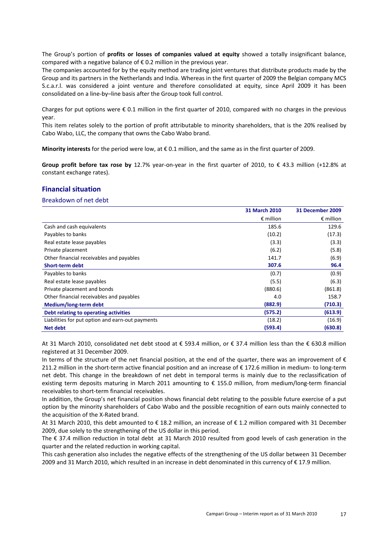The Group's portion of profits or losses of companies valued at equity showed a totally insignificant balance, compared with a negative balance of  $\epsilon$  0.2 million in the previous year.

The companies accounted for by the equity method are trading joint ventures that distribute products made by the Group and its partners in the Netherlands and India. Whereas in the first quarter of 2009 the Belgian company MCS S.c.a.r.l. was considered a joint venture and therefore consolidated at equity, since April 2009 it has been consolidated on a line-by–line basis after the Group took full control.

Charges for put options were  $\epsilon$  0.1 million in the first quarter of 2010, compared with no charges in the previous year.

This item relates solely to the portion of profit attributable to minority shareholders, that is the 20% realised by Cabo Wabo, LLC, the company that owns the Cabo Wabo brand.

Minority interests for the period were low, at  $\epsilon$  0.1 million, and the same as in the first quarter of 2009.

Group profit before tax rose by 12.7% year-on-year in the first quarter of 2010, to € 43.3 million (+12.8% at constant exchange rates).

#### Financial situation

#### Breakdown of net debt

|                                                  | 31 March 2010      | <b>31 December 2009</b> |
|--------------------------------------------------|--------------------|-------------------------|
|                                                  | $\epsilon$ million | $\epsilon$ million      |
| Cash and cash equivalents                        | 185.6              | 129.6                   |
| Payables to banks                                | (10.2)             | (17.3)                  |
| Real estate lease payables                       | (3.3)              | (3.3)                   |
| Private placement                                | (6.2)              | (5.8)                   |
| Other financial receivables and payables         | 141.7              | (6.9)                   |
| <b>Short-term debt</b>                           | 307.6              | 96.4                    |
| Payables to banks                                | (0.7)              | (0.9)                   |
| Real estate lease payables                       | (5.5)              | (6.3)                   |
| Private placement and bonds                      | (880.6)            | (861.8)                 |
| Other financial receivables and payables         | 4.0                | 158.7                   |
| Medium/long-term debt                            | (882.9)            | (710.3)                 |
| Debt relating to operating activities            | (575.2)            | (613.9)                 |
| Liabilities for put option and earn-out payments | (18.2)             | (16.9)                  |
| <b>Net debt</b>                                  | (593.4)            | (630.8)                 |

At 31 March 2010, consolidated net debt stood at € 593.4 million, or € 37.4 million less than the € 630.8 million registered at 31 December 2009.

In terms of the structure of the net financial position, at the end of the quarter, there was an improvement of  $\epsilon$ 211.2 million in the short-term active financial position and an increase of € 172.6 million in medium- to long-term net debt. This change in the breakdown of net debt in temporal terms is mainly due to the reclassification of existing term deposits maturing in March 2011 amounting to € 155.0 million, from medium/long-term financial receivables to short-term financial receivables.

In addition, the Group's net financial position shows financial debt relating to the possible future exercise of a put option by the minority shareholders of Cabo Wabo and the possible recognition of earn outs mainly connected to the acquisition of the X-Rated brand.

At 31 March 2010, this debt amounted to € 18.2 million, an increase of € 1.2 million compared with 31 December 2009, due solely to the strengthening of the US dollar in this period.

The € 37.4 million reduction in total debt at 31 March 2010 resulted from good levels of cash generation in the quarter and the related reduction in working capital.

This cash generation also includes the negative effects of the strengthening of the US dollar between 31 December 2009 and 31 March 2010, which resulted in an increase in debt denominated in this currency of € 17.9 million.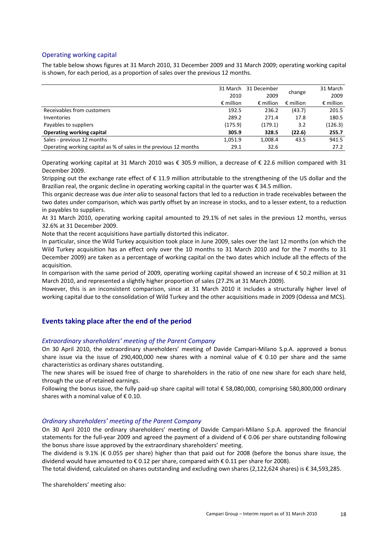#### Operating working capital

The table below shows figures at 31 March 2010, 31 December 2009 and 31 March 2009; operating working capital is shown, for each period, as a proportion of sales over the previous 12 months.

|                                                                   |                    | 31 March 31 December | change             | 31 March           |
|-------------------------------------------------------------------|--------------------|----------------------|--------------------|--------------------|
|                                                                   | 2010               | 2009                 |                    | 2009               |
|                                                                   | $\epsilon$ million | $\epsilon$ million   | $\epsilon$ million | $\epsilon$ million |
| Receivables from customers                                        | 192.5              | 236.2                | (43.7)             | 201.5              |
| Inventories                                                       | 289.2              | 271.4                | 17.8               | 180.5              |
| Payables to suppliers                                             | (175.9)            | (179.1)              | 3.2                | (126.3)            |
| <b>Operating working capital</b>                                  | 305.9              | 328.5                | (22.6)             | 255.7              |
| Sales - previous 12 months                                        | 1,051.9            | 1,008.4              | 43.5               | 941.5              |
| Operating working capital as % of sales in the previous 12 months | 29.1               | 32.6                 |                    | 27.2               |

Operating working capital at 31 March 2010 was € 305.9 million, a decrease of € 22.6 million compared with 31 December 2009.

Stripping out the exchange rate effect of € 11.9 million attributable to the strengthening of the US dollar and the Brazilian real, the organic decline in operating working capital in the quarter was € 34.5 million.

This organic decrease was due inter alia to seasonal factors that led to a reduction in trade receivables between the two dates under comparison, which was partly offset by an increase in stocks, and to a lesser extent, to a reduction in payables to suppliers.

At 31 March 2010, operating working capital amounted to 29.1% of net sales in the previous 12 months, versus 32.6% at 31 December 2009.

Note that the recent acquisitions have partially distorted this indicator.

In particular, since the Wild Turkey acquisition took place in June 2009, sales over the last 12 months (on which the Wild Turkey acquisition has an effect only over the 10 months to 31 March 2010 and for the 7 months to 31 December 2009) are taken as a percentage of working capital on the two dates which include all the effects of the acquisition.

In comparison with the same period of 2009, operating working capital showed an increase of € 50.2 million at 31 March 2010, and represented a slightly higher proportion of sales (27.2% at 31 March 2009).

However, this is an inconsistent comparison, since at 31 March 2010 it includes a structurally higher level of working capital due to the consolidation of Wild Turkey and the other acquisitions made in 2009 (Odessa and MCS).

#### Events taking place after the end of the period

#### Extraordinary shareholders' meeting of the Parent Company

On 30 April 2010, the extraordinary shareholders' meeting of Davide Campari-Milano S.p.A. approved a bonus share issue via the issue of 290,400,000 new shares with a nominal value of  $\epsilon$  0.10 per share and the same characteristics as ordinary shares outstanding.

The new shares will be issued free of charge to shareholders in the ratio of one new share for each share held, through the use of retained earnings.

Following the bonus issue, the fully paid-up share capital will total € 58,080,000, comprising 580,800,000 ordinary shares with a nominal value of  $\epsilon$  0.10.

#### Ordinary shareholders' meeting of the Parent Company

On 30 April 2010 the ordinary shareholders' meeting of Davide Campari-Milano S.p.A. approved the financial statements for the full-year 2009 and agreed the payment of a dividend of € 0.06 per share outstanding following the bonus share issue approved by the extraordinary shareholders' meeting.

The dividend is 9.1% ( $\epsilon$  0.055 per share) higher than that paid out for 2008 (before the bonus share issue, the dividend would have amounted to € 0.12 per share, compared with € 0.11 per share for 2008).

The total dividend, calculated on shares outstanding and excluding own shares (2,122,624 shares) is € 34,593,285.

The shareholders' meeting also: